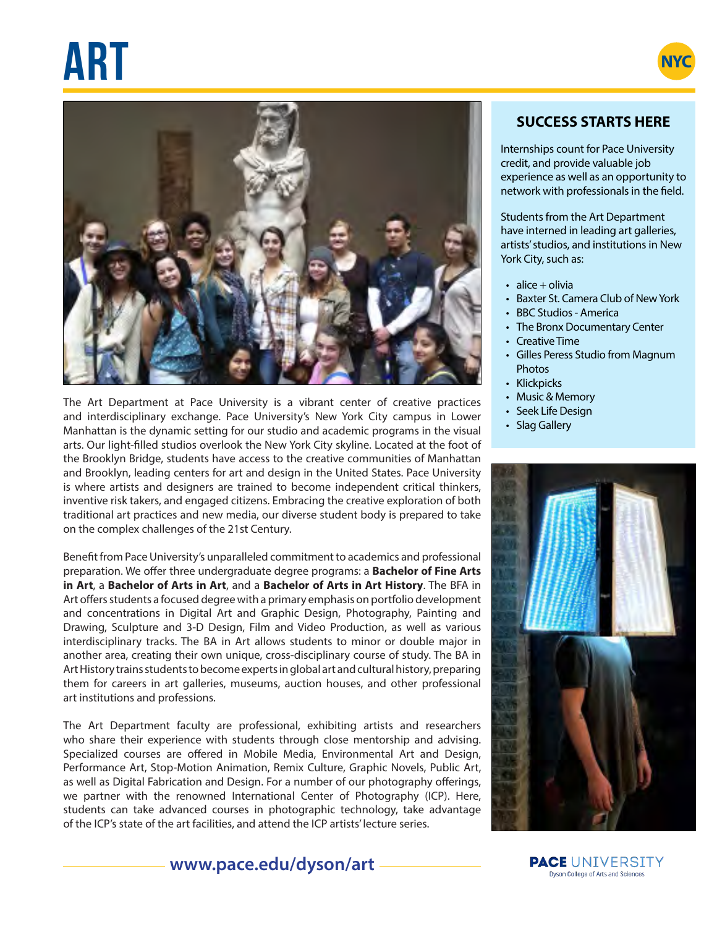# **ART NYC**





The Art Department at Pace University is a vibrant center of creative practices and interdisciplinary exchange. Pace University's New York City campus in Lower Manhattan is the dynamic setting for our studio and academic programs in the visual arts. Our light-filled studios overlook the New York City skyline. Located at the foot of the Brooklyn Bridge, students have access to the creative communities of Manhattan and Brooklyn, leading centers for art and design in the United States. Pace University is where artists and designers are trained to become independent critical thinkers, inventive risk takers, and engaged citizens. Embracing the creative exploration of both traditional art practices and new media, our diverse student body is prepared to take on the complex challenges of the 21st Century.

Benefit from Pace University's unparalleled commitment to academics and professional preparation. We offer three undergraduate degree programs: a **Bachelor of Fine Arts in Art**, a **Bachelor of Arts in Art**, and a **Bachelor of Arts in Art History**. The BFA in Art offers students a focused degree with a primary emphasis on portfolio development and concentrations in Digital Art and Graphic Design, Photography, Painting and Drawing, Sculpture and 3-D Design, Film and Video Production, as well as various interdisciplinary tracks. The BA in Art allows students to minor or double major in another area, creating their own unique, cross-disciplinary course of study. The BA in Art History trains students to become experts in global art and cultural history, preparing them for careers in art galleries, museums, auction houses, and other professional art institutions and professions.

The Art Department faculty are professional, exhibiting artists and researchers who share their experience with students through close mentorship and advising. Specialized courses are offered in Mobile Media, Environmental Art and Design, Performance Art, Stop-Motion Animation, Remix Culture, Graphic Novels, Public Art, as well as Digital Fabrication and Design. For a number of our photography offerings, we partner with the renowned International Center of Photography (ICP). Here, students can take advanced courses in photographic technology, take advantage of the ICP's state of the art facilities, and attend the ICP artists' lecture series.

# **SUCCESS STARTS HERE**

Internships count for Pace University credit, and provide valuable job experience as well as an opportunity to network with professionals in the field.

Students from the Art Department have interned in leading art galleries, artists' studios, and institutions in New York City, such as:

- $\cdot$  alice + olivia
- Baxter St. Camera Club of New York
- BBC Studios America
- The Bronx Documentary Center
- Creative Time
	- Gilles Peress Studio from Magnum **Photos**
	- Klickpicks
	- Music & Memory
	- Seek Life Design
	- Slag Gallery



# **www.pace.edu/dyson/art**

**PACE** UNIVERSITY Dyson College of Arts and Sciences